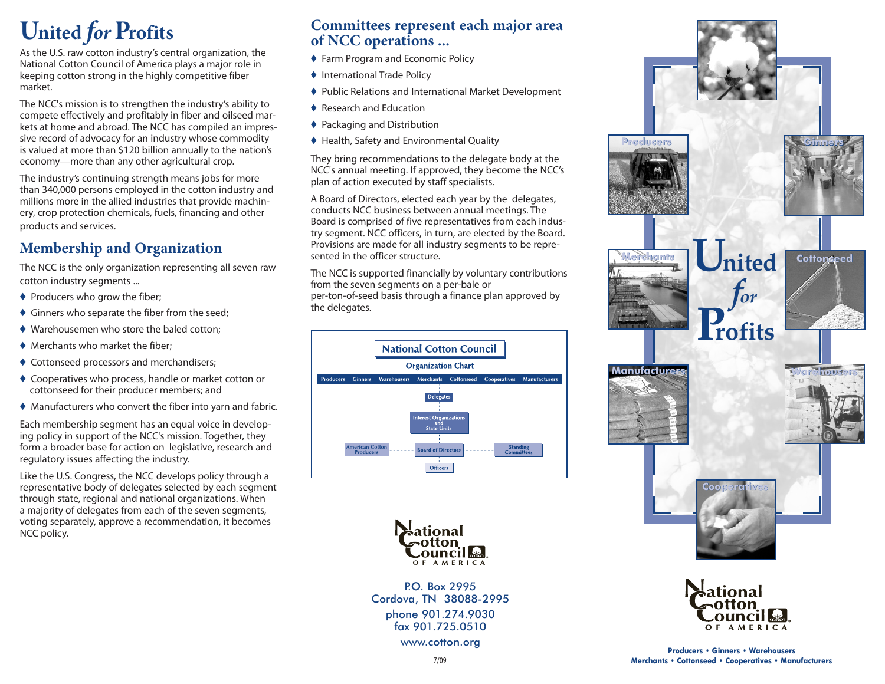# **United for Profits**

As the U.S. raw cotton industry's central organization, the National Cotton Council of America plays a major role in keeping cotton strong in the highly competitive fiber market.

The NCC's mission is to strengthen the industry's ability to compete effectively and profitably in fiber and oilseed markets at home and abroad. The NCC has compiled an impressive record of advocacy for an industry whose commodity is valued at more than \$120 billion annually to the nation's economy-more than any other agricultural crop.

The industry's continuing strength means jobs for more than 340,000 persons employed in the cotton industry and millions more in the allied industries that provide machinery, crop protection chemicals, fuels, financing and other products and services.

## **Membership and Organization**

The NCC is the only organization representing all seven raw cotton industry segments ...

- ♦ Producers who grow the fiber;
- ♦ Ginners who separate the fiber from the seed;
- ♦ Warehousemen who store the baled cotton;
- ♦ Merchants who market the fiber:
- ♦ Cottonseed processors and merchandisers:
- ♦ Cooperatives who process, handle or market cotton or cottonseed for their producer members; and
- ♦ Manufacturers who convert the fiber into yarn and fabric.

Each membership segment has an equal voice in developing policy in support of the NCC's mission. Together, they form a broader base for action on legislative, research and regulatory issues affecting the industry.

Like the U.S. Congress, the NCC develops policy through a representative body of delegates selected by each segment through state, regional and national organizations. When a majority of delegates from each of the seven segments, voting separately, approve a recommendation, it becomes NCC policy.

#### Committees represent each major area of NCC operations ...

- ♦ Farm Program and Economic Policy
- ♦ International Trade Policy
- ♦ Public Relations and International Market Development
- ♦ Research and Education
- ♦ Packaging and Distribution
- ♦ Health, Safety and Environmental Quality

They bring recommendations to the delegate body at the NCC's annual meeting. If approved, they become the NCC's plan of action executed by staff specialists.

A Board of Directors, elected each year by the delegates, conducts NCC business between annual meetings. The Board is comprised of five representatives from each industry segment. NCC officers, in turn, are elected by the Board. Provisions are made for all industry segments to be represented in the officer structure.

The NCC is supported financially by voluntary contributions from the seven segments on a per-bale or per-ton-of-seed basis through a finance plan approved by the delegates.





P.O. Box 2995 Cordova, TN 38088-2995 phone 901.274.9030 fax 901.725.0510 www.cotton.org